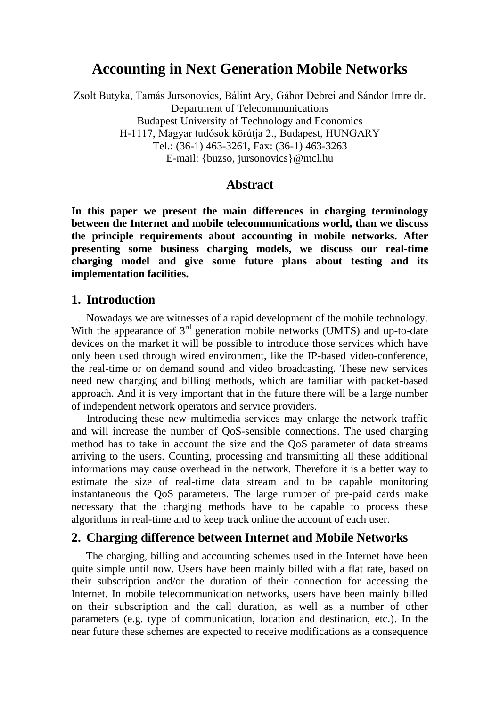# **Accounting in Next Generation Mobile Networks**

Zsolt Butyka, Tamás Jursonovics, Bálint Ary, Gábor Debrei and Sándor Imre dr. Department of Telecommunications Budapest University of Technology and Economics H-1117, Magyar tudósok körútja 2., Budapest, HUNGARY Tel.: (36-1) 463-3261, Fax: (36-1) 463-3263 E-mail: {buzso, jursonovics}@mcl.hu

#### **Abstract**

**In this paper we present the main differences in charging terminology between the Internet and mobile telecommunications world, than we discuss the principle requirements about accounting in mobile networks. After presenting some business charging models, we discuss our real-time charging model and give some future plans about testing and its implementation facilities.**

#### **1. Introduction**

Nowadays we are witnesses of a rapid development of the mobile technology. With the appearance of 3<sup>rd</sup> generation mobile networks (UMTS) and up-to-date devices on the market it will be possible to introduce those services which have only been used through wired environment, like the IP-based video-conference, the real-time or on demand sound and video broadcasting. These new services need new charging and billing methods, which are familiar with packet-based approach. And it is very important that in the future there will be a large number of independent network operators and service providers.

Introducing these new multimedia services may enlarge the network traffic and will increase the number of QoS-sensible connections. The used charging method has to take in account the size and the QoS parameter of data streams arriving to the users. Counting, processing and transmitting all these additional informations may cause overhead in the network. Therefore it is a better way to estimate the size of real-time data stream and to be capable monitoring instantaneous the QoS parameters. The large number of pre-paid cards make necessary that the charging methods have to be capable to process these algorithms in real-time and to keep track online the account of each user.

#### **2. Charging difference between Internet and Mobile Networks**

The charging, billing and accounting schemes used in the Internet have been quite simple until now. Users have been mainly billed with a flat rate, based on their subscription and/or the duration of their connection for accessing the Internet. In mobile telecommunication networks, users have been mainly billed on their subscription and the call duration, as well as a number of other parameters (e.g. type of communication, location and destination, etc.). In the near future these schemes are expected to receive modifications as a consequence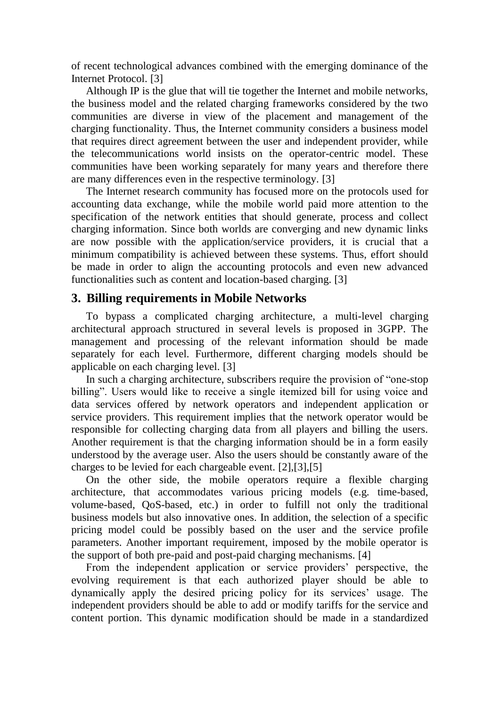of recent technological advances combined with the emerging dominance of the Internet Protocol. [3]

Although IP is the glue that will tie together the Internet and mobile networks, the business model and the related charging frameworks considered by the two communities are diverse in view of the placement and management of the charging functionality. Thus, the Internet community considers a business model that requires direct agreement between the user and independent provider, while the telecommunications world insists on the operator-centric model. These communities have been working separately for many years and therefore there are many differences even in the respective terminology. [3]

The Internet research community has focused more on the protocols used for accounting data exchange, while the mobile world paid more attention to the specification of the network entities that should generate, process and collect charging information. Since both worlds are converging and new dynamic links are now possible with the application/service providers, it is crucial that a minimum compatibility is achieved between these systems. Thus, effort should be made in order to align the accounting protocols and even new advanced functionalities such as content and location-based charging. [3]

### **3. Billing requirements in Mobile Networks**

To bypass a complicated charging architecture, a multi-level charging architectural approach structured in several levels is proposed in 3GPP. The management and processing of the relevant information should be made separately for each level. Furthermore, different charging models should be applicable on each charging level. [3]

In such a charging architecture, subscribers require the provision of "one-stop billing". Users would like to receive a single itemized bill for using voice and data services offered by network operators and independent application or service providers. This requirement implies that the network operator would be responsible for collecting charging data from all players and billing the users. Another requirement is that the charging information should be in a form easily understood by the average user. Also the users should be constantly aware of the charges to be levied for each chargeable event. [2],[3],[5]

On the other side, the mobile operators require a flexible charging architecture, that accommodates various pricing models (e.g. time-based, volume-based, QoS-based, etc.) in order to fulfill not only the traditional business models but also innovative ones. In addition, the selection of a specific pricing model could be possibly based on the user and the service profile parameters. Another important requirement, imposed by the mobile operator is the support of both pre-paid and post-paid charging mechanisms. [4]

From the independent application or service providers' perspective, the evolving requirement is that each authorized player should be able to dynamically apply the desired pricing policy for its services' usage. The independent providers should be able to add or modify tariffs for the service and content portion. This dynamic modification should be made in a standardized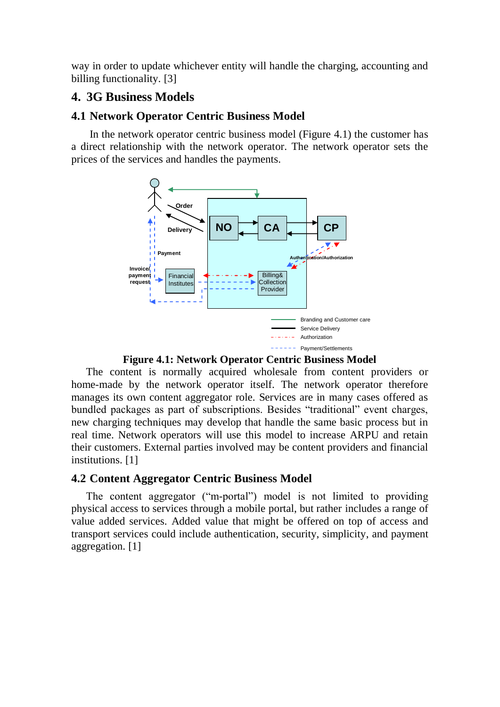way in order to update whichever entity will handle the charging, accounting and billing functionality. [3]

## **4. 3G Business Models**

### **4.1 Network Operator Centric Business Model**

In the network operator centric business model (Figure 4.1) the customer has a direct relationship with the network operator. The network operator sets the prices of the services and handles the payments.



**Figure 4.1: Network Operator Centric Business Model**

The content is normally acquired wholesale from content providers or home-made by the network operator itself. The network operator therefore manages its own content aggregator role. Services are in many cases offered as bundled packages as part of subscriptions. Besides "traditional" event charges, new charging techniques may develop that handle the same basic process but in real time. Network operators will use this model to increase ARPU and retain their customers. External parties involved may be content providers and financial institutions. [1]

## **4.2 Content Aggregator Centric Business Model**

The content aggregator ("m-portal") model is not limited to providing physical access to services through a mobile portal, but rather includes a range of value added services. Added value that might be offered on top of access and transport services could include authentication, security, simplicity, and payment aggregation. [1]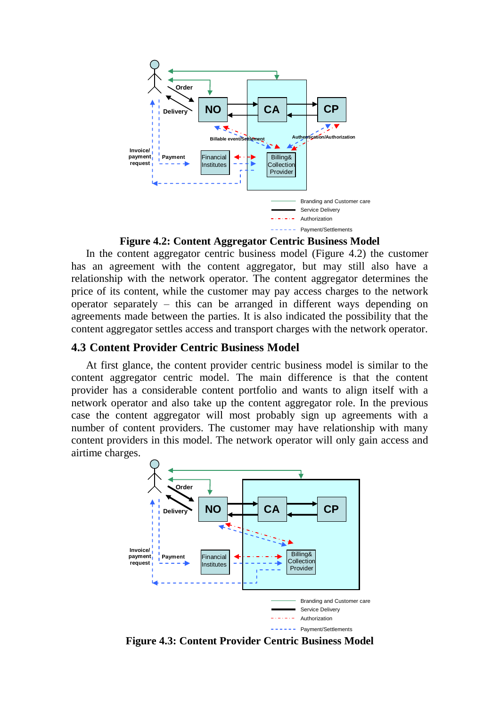

**Figure 4.2: Content Aggregator Centric Business Model**

In the content aggregator centric business model (Figure 4.2) the customer has an agreement with the content aggregator, but may still also have a relationship with the network operator. The content aggregator determines the price of its content, while the customer may pay access charges to the network operator separately – this can be arranged in different ways depending on agreements made between the parties. It is also indicated the possibility that the content aggregator settles access and transport charges with the network operator.

#### **4.3 Content Provider Centric Business Model**

At first glance, the content provider centric business model is similar to the content aggregator centric model. The main difference is that the content provider has a considerable content portfolio and wants to align itself with a network operator and also take up the content aggregator role. In the previous case the content aggregator will most probably sign up agreements with a number of content providers. The customer may have relationship with many content providers in this model. The network operator will only gain access and airtime charges.



**Figure 4.3: Content Provider Centric Business Model**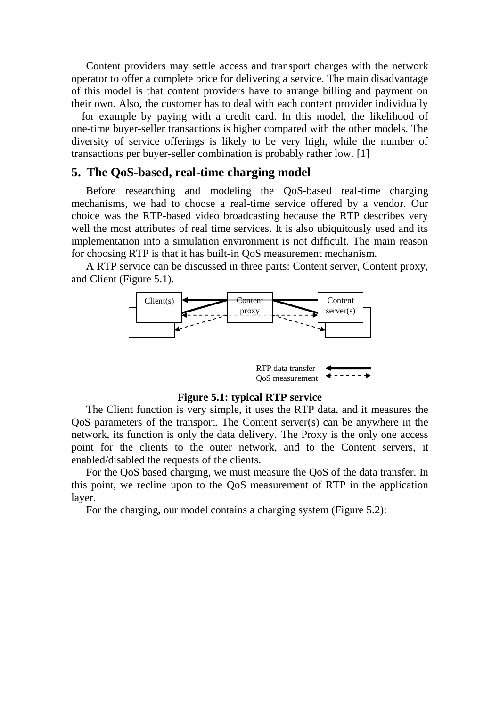Content providers may settle access and transport charges with the network operator to offer a complete price for delivering a service. The main disadvantage of this model is that content providers have to arrange billing and payment on their own. Also, the customer has to deal with each content provider individually – for example by paying with a credit card. In this model, the likelihood of one-time buyer-seller transactions is higher compared with the other models. The diversity of service offerings is likely to be very high, while the number of transactions per buyer-seller combination is probably rather low. [1]

#### **5. The QoS-based, real-time charging model**

Before researching and modeling the QoS-based real-time charging mechanisms, we had to choose a real-time service offered by a vendor. Our choice was the RTP-based video broadcasting because the RTP describes very well the most attributes of real time services. It is also ubiquitously used and its implementation into a simulation environment is not difficult. The main reason for choosing RTP is that it has built-in QoS measurement mechanism.

A RTP service can be discussed in three parts: Content server, Content proxy, and Client (Figure 5.1).





#### **Figure 5.1: typical RTP service**

The Client function is very simple, it uses the RTP data, and it measures the QoS parameters of the transport. The Content server(s) can be anywhere in the network, its function is only the data delivery. The Proxy is the only one access point for the clients to the outer network, and to the Content servers, it enabled/disabled the requests of the clients.

For the QoS based charging, we must measure the QoS of the data transfer. In this point, we recline upon to the QoS measurement of RTP in the application layer.

For the charging, our model contains a charging system (Figure 5.2):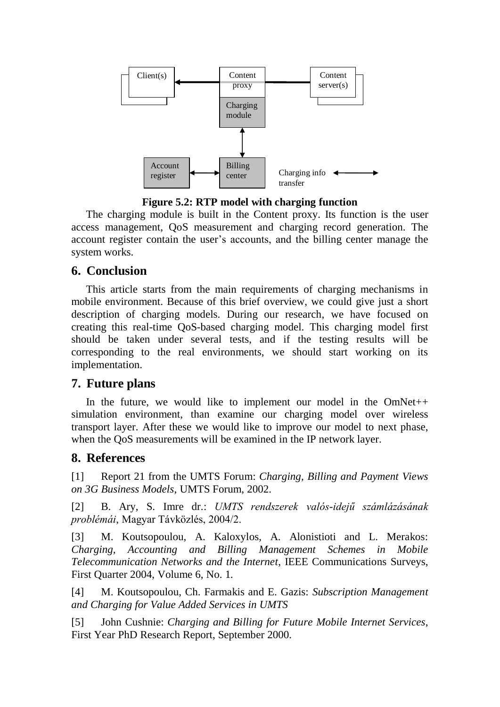

**Figure 5.2: RTP model with charging function**

The charging module is built in the Content proxy. Its function is the user access management, QoS measurement and charging record generation. The account register contain the user's accounts, and the billing center manage the system works.

# **6. Conclusion**

This article starts from the main requirements of charging mechanisms in mobile environment. Because of this brief overview, we could give just a short description of charging models. During our research, we have focused on creating this real-time QoS-based charging model. This charging model first should be taken under several tests, and if the testing results will be corresponding to the real environments, we should start working on its implementation.

## **7. Future plans**

In the future, we would like to implement our model in the OmNet++ simulation environment, than examine our charging model over wireless transport layer. After these we would like to improve our model to next phase, when the QoS measurements will be examined in the IP network layer.

# **8. References**

[1] Report 21 from the UMTS Forum: *Charging, Billing and Payment Views on 3G Business Models*, UMTS Forum, 2002.

[2] B. Ary, S. Imre dr.: *UMTS rendszerek valós-idejű számlázásának problémái*, Magyar Távközlés, 2004/2.

[3] M. Koutsopoulou, A. Kaloxylos, A. Alonistioti and L. Merakos: *Charging, Accounting and Billing Management Schemes in Mobile Telecommunication Networks and the Internet*, IEEE Communications Surveys, First Quarter 2004, Volume 6, No. 1.

[4] M. Koutsopoulou, Ch. Farmakis and E. Gazis: *Subscription Management and Charging for Value Added Services in UMTS*

[5] John Cushnie: *Charging and Billing for Future Mobile Internet Services*, First Year PhD Research Report, September 2000.